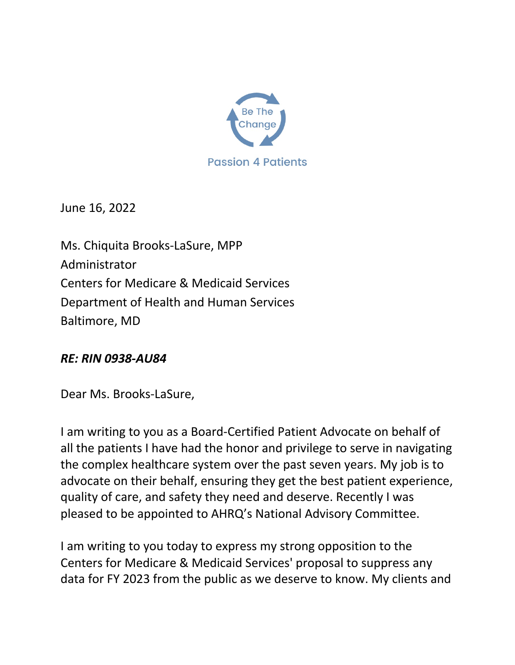

June 16, 2022

Ms. Chiquita Brooks-LaSure, MPP Administrator Centers for Medicare & Medicaid Services Department of Health and Human Services Baltimore, MD

## *RE: RIN 0938-AU84*

Dear Ms. Brooks-LaSure,

I am writing to you as a Board-Certified Patient Advocate on behalf of all the patients I have had the honor and privilege to serve in navigating the complex healthcare system over the past seven years. My job is to advocate on their behalf, ensuring they get the best patient experience, quality of care, and safety they need and deserve. Recently I was pleased to be appointed to AHRQ's National Advisory Committee.

I am writing to you today to express my strong opposition to the Centers for Medicare & Medicaid Services' proposal to suppress any data for FY 2023 from the public as we deserve to know. My clients and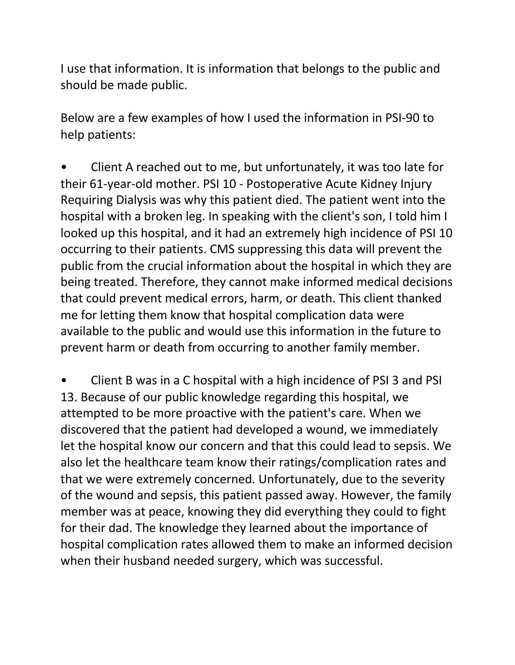I use that information. It is information that belongs to the public and should be made public.

Below are a few examples of how I used the information in PSI-90 to help patients:

• Client A reached out to me, but unfortunately, it was too late for their 61-year-old mother. PSI 10 - Postoperative Acute Kidney Injury Requiring Dialysis was why this patient died. The patient went into the hospital with a broken leg. In speaking with the client's son, I told him I looked up this hospital, and it had an extremely high incidence of PSI 10 occurring to their patients. CMS suppressing this data will prevent the public from the crucial information about the hospital in which they are being treated. Therefore, they cannot make informed medical decisions that could prevent medical errors, harm, or death. This client thanked me for letting them know that hospital complication data were available to the public and would use this information in the future to prevent harm or death from occurring to another family member.

• Client B was in a C hospital with a high incidence of PSI 3 and PSI 13. Because of our public knowledge regarding this hospital, we attempted to be more proactive with the patient's care. When we discovered that the patient had developed a wound, we immediately let the hospital know our concern and that this could lead to sepsis. We also let the healthcare team know their ratings/complication rates and that we were extremely concerned. Unfortunately, due to the severity of the wound and sepsis, this patient passed away. However, the family member was at peace, knowing they did everything they could to fight for their dad. The knowledge they learned about the importance of hospital complication rates allowed them to make an informed decision when their husband needed surgery, which was successful.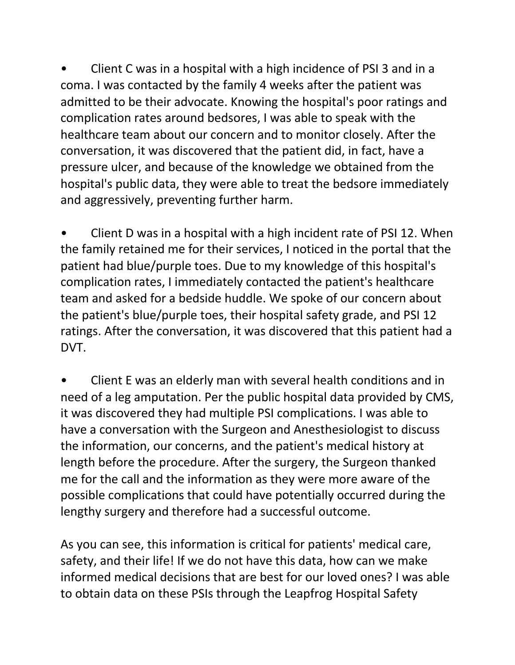• Client C was in a hospital with a high incidence of PSI 3 and in a coma. I was contacted by the family 4 weeks after the patient was admitted to be their advocate. Knowing the hospital's poor ratings and complication rates around bedsores, I was able to speak with the healthcare team about our concern and to monitor closely. After the conversation, it was discovered that the patient did, in fact, have a pressure ulcer, and because of the knowledge we obtained from the hospital's public data, they were able to treat the bedsore immediately and aggressively, preventing further harm.

• Client D was in a hospital with a high incident rate of PSI 12. When the family retained me for their services, I noticed in the portal that the patient had blue/purple toes. Due to my knowledge of this hospital's complication rates, I immediately contacted the patient's healthcare team and asked for a bedside huddle. We spoke of our concern about the patient's blue/purple toes, their hospital safety grade, and PSI 12 ratings. After the conversation, it was discovered that this patient had a DVT.

• Client E was an elderly man with several health conditions and in need of a leg amputation. Per the public hospital data provided by CMS, it was discovered they had multiple PSI complications. I was able to have a conversation with the Surgeon and Anesthesiologist to discuss the information, our concerns, and the patient's medical history at length before the procedure. After the surgery, the Surgeon thanked me for the call and the information as they were more aware of the possible complications that could have potentially occurred during the lengthy surgery and therefore had a successful outcome.

As you can see, this information is critical for patients' medical care, safety, and their life! If we do not have this data, how can we make informed medical decisions that are best for our loved ones? I was able to obtain data on these PSIs through the Leapfrog Hospital Safety